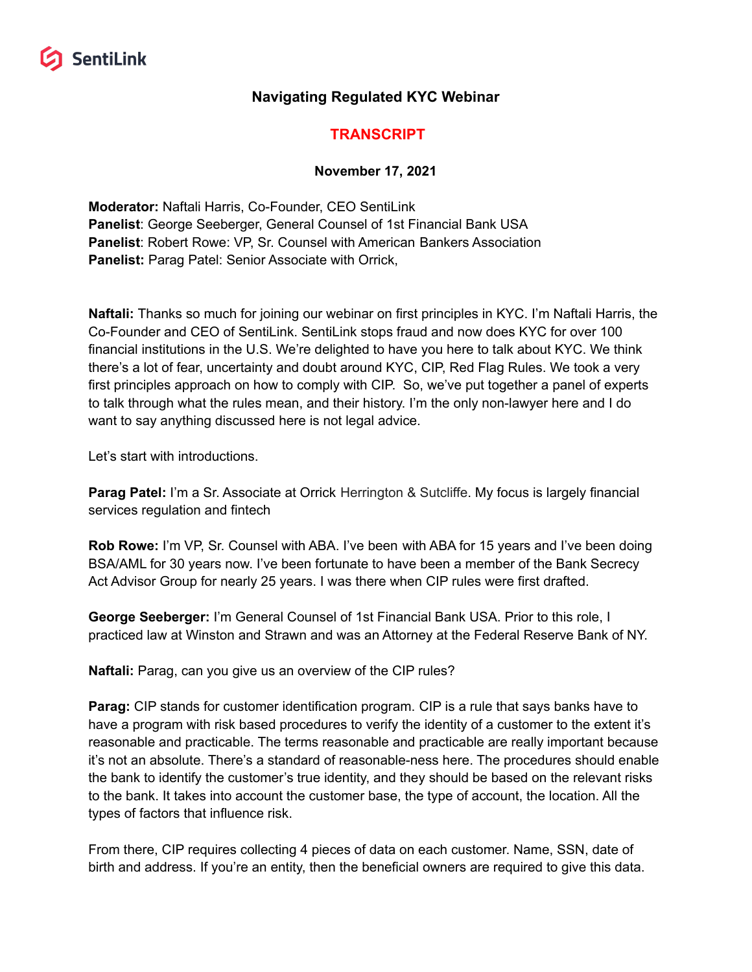

#### **Navigating Regulated KYC Webinar**

#### **TRANSCRIPT**

#### **November 17, 2021**

**Moderator:** Naftali Harris, Co-Founder, CEO SentiLink **Panelist**: George Seeberger, General Counsel of 1st Financial Bank USA **Panelist**: Robert Rowe: VP, Sr. Counsel with American Bankers Association **Panelist:** Parag Patel: Senior Associate with Orrick,

**Naftali:** Thanks so much for joining our webinar on first principles in KYC. I'm Naftali Harris, the Co-Founder and CEO of SentiLink. SentiLink stops fraud and now does KYC for over 100 financial institutions in the U.S. We're delighted to have you here to talk about KYC. We think there's a lot of fear, uncertainty and doubt around KYC, CIP, Red Flag Rules. We took a very first principles approach on how to comply with CIP. So, we've put together a panel of experts to talk through what the rules mean, and their history. I'm the only non-lawyer here and I do want to say anything discussed here is not legal advice.

Let's start with introductions.

**Parag Patel:** I'm a Sr. Associate at Orrick Herrington & Sutcliffe. My focus is largely financial services regulation and fintech

**Rob Rowe:** I'm VP, Sr. Counsel with ABA. I've been with ABA for 15 years and I've been doing BSA/AML for 30 years now. I've been fortunate to have been a member of the Bank Secrecy Act Advisor Group for nearly 25 years. I was there when CIP rules were first drafted.

**George Seeberger:** I'm General Counsel of 1st Financial Bank USA. Prior to this role, I practiced law at Winston and Strawn and was an Attorney at the Federal Reserve Bank of NY.

**Naftali:** Parag, can you give us an overview of the CIP rules?

**Parag:** CIP stands for customer identification program. CIP is a rule that says banks have to have a program with risk based procedures to verify the identity of a customer to the extent it's reasonable and practicable. The terms reasonable and practicable are really important because it's not an absolute. There's a standard of reasonable-ness here. The procedures should enable the bank to identify the customer's true identity, and they should be based on the relevant risks to the bank. It takes into account the customer base, the type of account, the location. All the types of factors that influence risk.

From there, CIP requires collecting 4 pieces of data on each customer. Name, SSN, date of birth and address. If you're an entity, then the beneficial owners are required to give this data.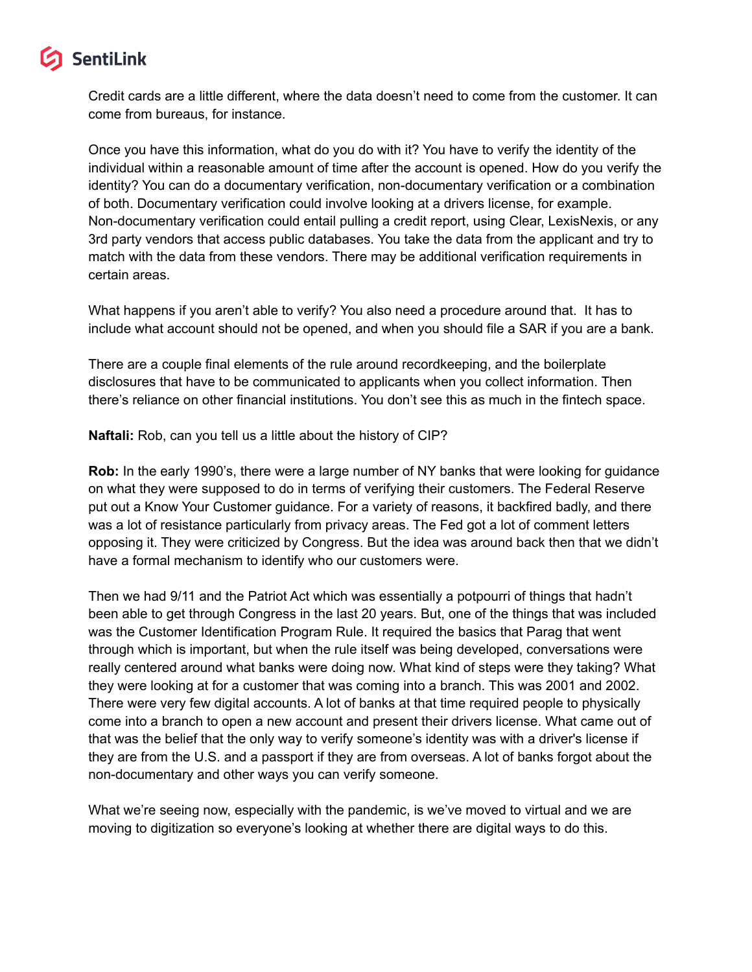Credit cards are a little different, where the data doesn't need to come from the customer. It can come from bureaus, for instance.

Once you have this information, what do you do with it? You have to verify the identity of the individual within a reasonable amount of time after the account is opened. How do you verify the identity? You can do a documentary verification, non-documentary verification or a combination of both. Documentary verification could involve looking at a drivers license, for example. Non-documentary verification could entail pulling a credit report, using Clear, LexisNexis, or any 3rd party vendors that access public databases. You take the data from the applicant and try to match with the data from these vendors. There may be additional verification requirements in certain areas.

What happens if you aren't able to verify? You also need a procedure around that. It has to include what account should not be opened, and when you should file a SAR if you are a bank.

There are a couple final elements of the rule around recordkeeping, and the boilerplate disclosures that have to be communicated to applicants when you collect information. Then there's reliance on other financial institutions. You don't see this as much in the fintech space.

**Naftali:** Rob, can you tell us a little about the history of CIP?

**Rob:** In the early 1990's, there were a large number of NY banks that were looking for guidance on what they were supposed to do in terms of verifying their customers. The Federal Reserve put out a Know Your Customer guidance. For a variety of reasons, it backfired badly, and there was a lot of resistance particularly from privacy areas. The Fed got a lot of comment letters opposing it. They were criticized by Congress. But the idea was around back then that we didn't have a formal mechanism to identify who our customers were.

Then we had 9/11 and the Patriot Act which was essentially a potpourri of things that hadn't been able to get through Congress in the last 20 years. But, one of the things that was included was the Customer Identification Program Rule. It required the basics that Parag that went through which is important, but when the rule itself was being developed, conversations were really centered around what banks were doing now. What kind of steps were they taking? What they were looking at for a customer that was coming into a branch. This was 2001 and 2002. There were very few digital accounts. A lot of banks at that time required people to physically come into a branch to open a new account and present their drivers license. What came out of that was the belief that the only way to verify someone's identity was with a driver's license if they are from the U.S. and a passport if they are from overseas. A lot of banks forgot about the non-documentary and other ways you can verify someone.

What we're seeing now, especially with the pandemic, is we've moved to virtual and we are moving to digitization so everyone's looking at whether there are digital ways to do this.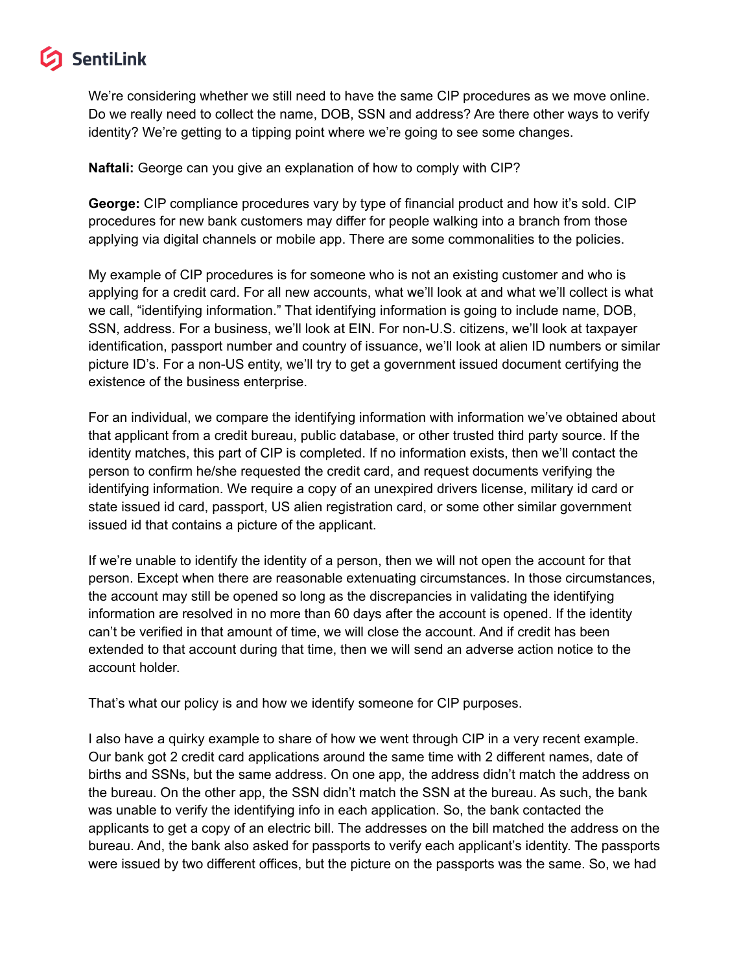We're considering whether we still need to have the same CIP procedures as we move online. Do we really need to collect the name, DOB, SSN and address? Are there other ways to verify identity? We're getting to a tipping point where we're going to see some changes.

**Naftali:** George can you give an explanation of how to comply with CIP?

**George:** CIP compliance procedures vary by type of financial product and how it's sold. CIP procedures for new bank customers may differ for people walking into a branch from those applying via digital channels or mobile app. There are some commonalities to the policies.

My example of CIP procedures is for someone who is not an existing customer and who is applying for a credit card. For all new accounts, what we'll look at and what we'll collect is what we call, "identifying information." That identifying information is going to include name, DOB, SSN, address. For a business, we'll look at EIN. For non-U.S. citizens, we'll look at taxpayer identification, passport number and country of issuance, we'll look at alien ID numbers or similar picture ID's. For a non-US entity, we'll try to get a government issued document certifying the existence of the business enterprise.

For an individual, we compare the identifying information with information we've obtained about that applicant from a credit bureau, public database, or other trusted third party source. If the identity matches, this part of CIP is completed. If no information exists, then we'll contact the person to confirm he/she requested the credit card, and request documents verifying the identifying information. We require a copy of an unexpired drivers license, military id card or state issued id card, passport, US alien registration card, or some other similar government issued id that contains a picture of the applicant.

If we're unable to identify the identity of a person, then we will not open the account for that person. Except when there are reasonable extenuating circumstances. In those circumstances, the account may still be opened so long as the discrepancies in validating the identifying information are resolved in no more than 60 days after the account is opened. If the identity can't be verified in that amount of time, we will close the account. And if credit has been extended to that account during that time, then we will send an adverse action notice to the account holder.

That's what our policy is and how we identify someone for CIP purposes.

I also have a quirky example to share of how we went through CIP in a very recent example. Our bank got 2 credit card applications around the same time with 2 different names, date of births and SSNs, but the same address. On one app, the address didn't match the address on the bureau. On the other app, the SSN didn't match the SSN at the bureau. As such, the bank was unable to verify the identifying info in each application. So, the bank contacted the applicants to get a copy of an electric bill. The addresses on the bill matched the address on the bureau. And, the bank also asked for passports to verify each applicant's identity. The passports were issued by two different offices, but the picture on the passports was the same. So, we had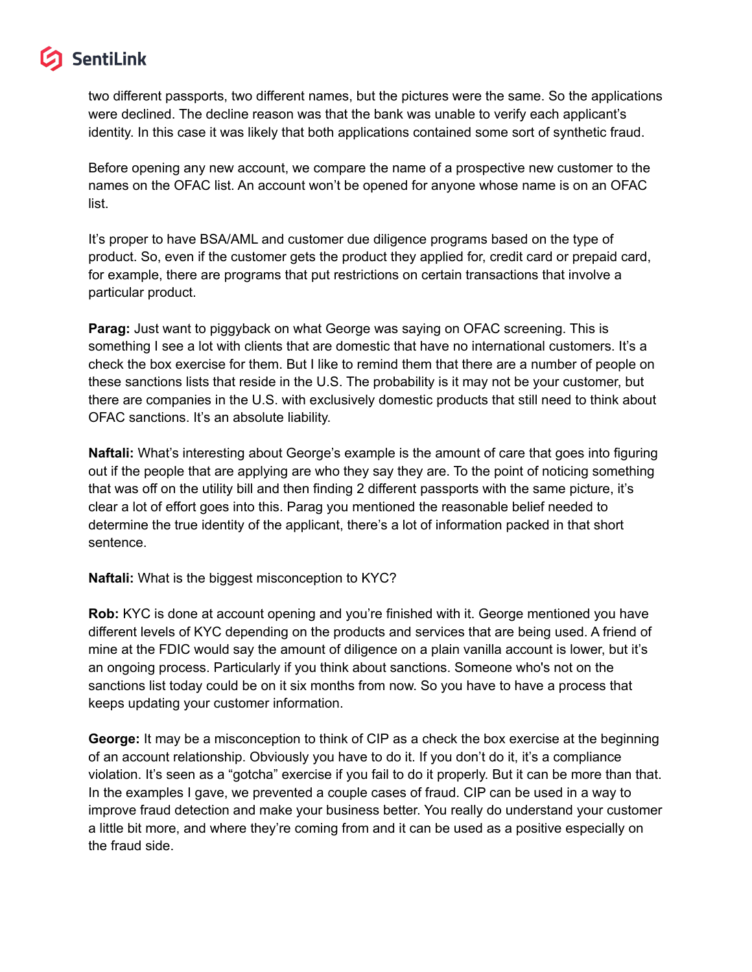two different passports, two different names, but the pictures were the same. So the applications were declined. The decline reason was that the bank was unable to verify each applicant's identity. In this case it was likely that both applications contained some sort of synthetic fraud.

Before opening any new account, we compare the name of a prospective new customer to the names on the OFAC list. An account won't be opened for anyone whose name is on an OFAC list.

It's proper to have BSA/AML and customer due diligence programs based on the type of product. So, even if the customer gets the product they applied for, credit card or prepaid card, for example, there are programs that put restrictions on certain transactions that involve a particular product.

**Parag:** Just want to piggyback on what George was saying on OFAC screening. This is something I see a lot with clients that are domestic that have no international customers. It's a check the box exercise for them. But I like to remind them that there are a number of people on these sanctions lists that reside in the U.S. The probability is it may not be your customer, but there are companies in the U.S. with exclusively domestic products that still need to think about OFAC sanctions. It's an absolute liability.

**Naftali:** What's interesting about George's example is the amount of care that goes into figuring out if the people that are applying are who they say they are. To the point of noticing something that was off on the utility bill and then finding 2 different passports with the same picture, it's clear a lot of effort goes into this. Parag you mentioned the reasonable belief needed to determine the true identity of the applicant, there's a lot of information packed in that short sentence.

#### **Naftali:** What is the biggest misconception to KYC?

**Rob:** KYC is done at account opening and you're finished with it. George mentioned you have different levels of KYC depending on the products and services that are being used. A friend of mine at the FDIC would say the amount of diligence on a plain vanilla account is lower, but it's an ongoing process. Particularly if you think about sanctions. Someone who's not on the sanctions list today could be on it six months from now. So you have to have a process that keeps updating your customer information.

**George:** It may be a misconception to think of CIP as a check the box exercise at the beginning of an account relationship. Obviously you have to do it. If you don't do it, it's a compliance violation. It's seen as a "gotcha" exercise if you fail to do it properly. But it can be more than that. In the examples I gave, we prevented a couple cases of fraud. CIP can be used in a way to improve fraud detection and make your business better. You really do understand your customer a little bit more, and where they're coming from and it can be used as a positive especially on the fraud side.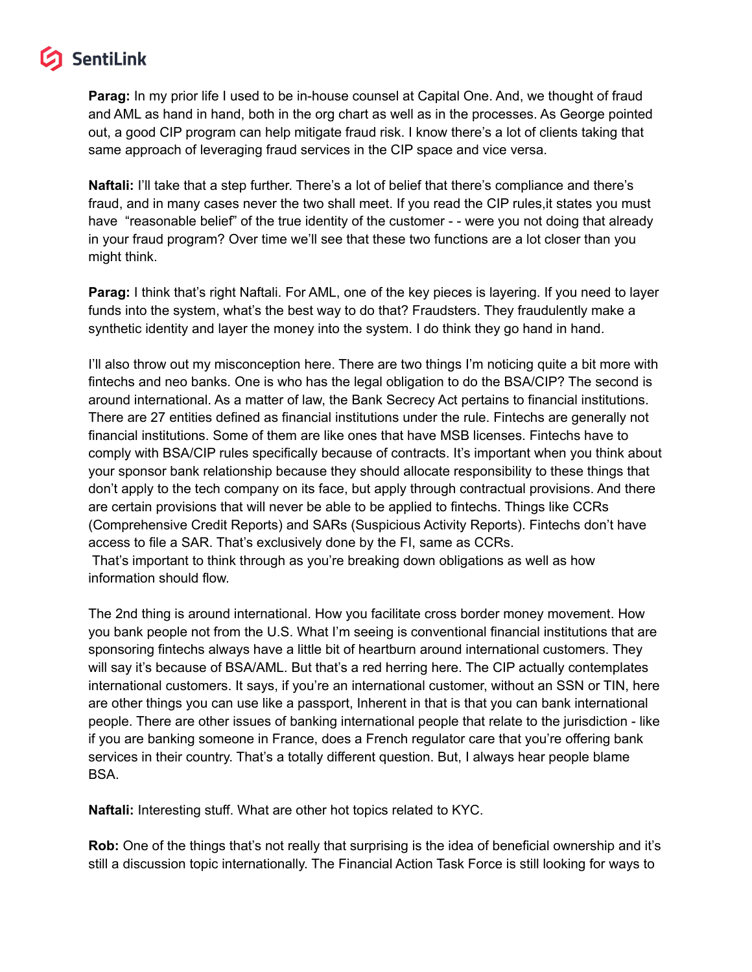**Parag:** In my prior life I used to be in-house counsel at Capital One. And, we thought of fraud and AML as hand in hand, both in the org chart as well as in the processes. As George pointed out, a good CIP program can help mitigate fraud risk. I know there's a lot of clients taking that same approach of leveraging fraud services in the CIP space and vice versa.

**Naftali:** I'll take that a step further. There's a lot of belief that there's compliance and there's fraud, and in many cases never the two shall meet. If you read the CIP rules,it states you must have "reasonable belief" of the true identity of the customer - - were you not doing that already in your fraud program? Over time we'll see that these two functions are a lot closer than you might think.

**Parag:** I think that's right Naftali. For AML, one of the key pieces is layering. If you need to layer funds into the system, what's the best way to do that? Fraudsters. They fraudulently make a synthetic identity and layer the money into the system. I do think they go hand in hand.

I'll also throw out my misconception here. There are two things I'm noticing quite a bit more with fintechs and neo banks. One is who has the legal obligation to do the BSA/CIP? The second is around international. As a matter of law, the Bank Secrecy Act pertains to financial institutions. There are 27 entities defined as financial institutions under the rule. Fintechs are generally not financial institutions. Some of them are like ones that have MSB licenses. Fintechs have to comply with BSA/CIP rules specifically because of contracts. It's important when you think about your sponsor bank relationship because they should allocate responsibility to these things that don't apply to the tech company on its face, but apply through contractual provisions. And there are certain provisions that will never be able to be applied to fintechs. Things like CCRs (Comprehensive Credit Reports) and SARs (Suspicious Activity Reports). Fintechs don't have access to file a SAR. That's exclusively done by the FI, same as CCRs.

That's important to think through as you're breaking down obligations as well as how information should flow.

The 2nd thing is around international. How you facilitate cross border money movement. How you bank people not from the U.S. What I'm seeing is conventional financial institutions that are sponsoring fintechs always have a little bit of heartburn around international customers. They will say it's because of BSA/AML. But that's a red herring here. The CIP actually contemplates international customers. It says, if you're an international customer, without an SSN or TIN, here are other things you can use like a passport, Inherent in that is that you can bank international people. There are other issues of banking international people that relate to the jurisdiction - like if you are banking someone in France, does a French regulator care that you're offering bank services in their country. That's a totally different question. But, I always hear people blame BSA.

**Naftali:** Interesting stuff. What are other hot topics related to KYC.

**Rob:** One of the things that's not really that surprising is the idea of beneficial ownership and it's still a discussion topic internationally. The Financial Action Task Force is still looking for ways to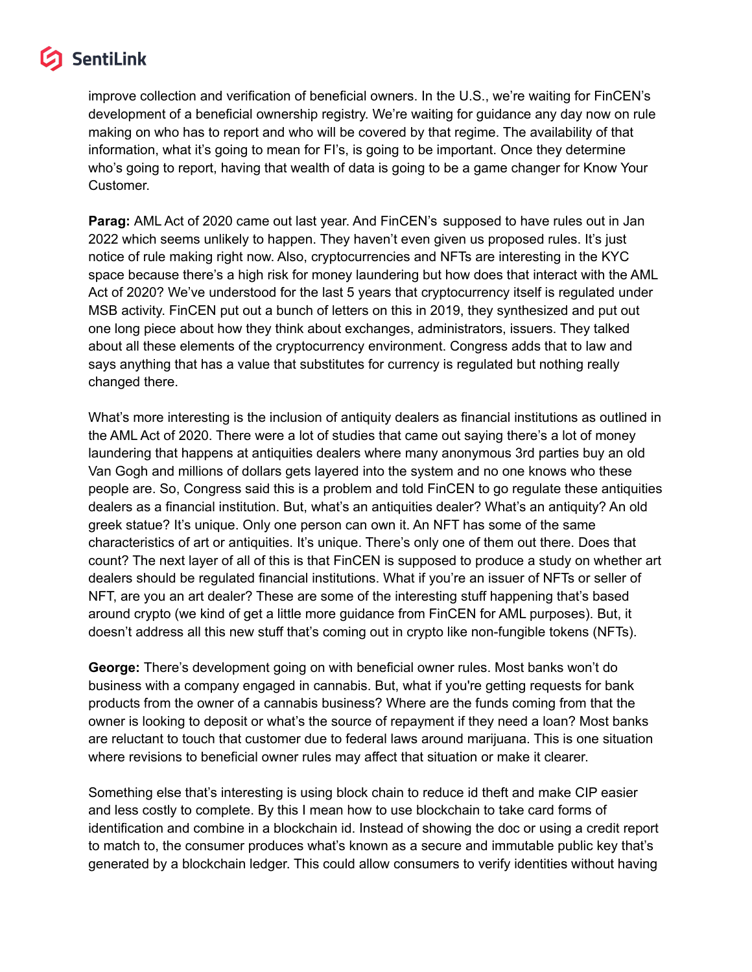improve collection and verification of beneficial owners. In the U.S., we're waiting for FinCEN's development of a beneficial ownership registry. We're waiting for guidance any day now on rule making on who has to report and who will be covered by that regime. The availability of that information, what it's going to mean for FI's, is going to be important. Once they determine who's going to report, having that wealth of data is going to be a game changer for Know Your Customer.

**Parag:** AML Act of 2020 came out last year. And FinCEN's supposed to have rules out in Jan 2022 which seems unlikely to happen. They haven't even given us proposed rules. It's just notice of rule making right now. Also, cryptocurrencies and NFTs are interesting in the KYC space because there's a high risk for money laundering but how does that interact with the AML Act of 2020? We've understood for the last 5 years that cryptocurrency itself is regulated under MSB activity. FinCEN put out a bunch of letters on this in 2019, they synthesized and put out one long piece about how they think about exchanges, administrators, issuers. They talked about all these elements of the cryptocurrency environment. Congress adds that to law and says anything that has a value that substitutes for currency is regulated but nothing really changed there.

What's more interesting is the inclusion of antiquity dealers as financial institutions as outlined in the AML Act of 2020. There were a lot of studies that came out saying there's a lot of money laundering that happens at antiquities dealers where many anonymous 3rd parties buy an old Van Gogh and millions of dollars gets layered into the system and no one knows who these people are. So, Congress said this is a problem and told FinCEN to go regulate these antiquities dealers as a financial institution. But, what's an antiquities dealer? What's an antiquity? An old greek statue? It's unique. Only one person can own it. An NFT has some of the same characteristics of art or antiquities. It's unique. There's only one of them out there. Does that count? The next layer of all of this is that FinCEN is supposed to produce a study on whether art dealers should be regulated financial institutions. What if you're an issuer of NFTs or seller of NFT, are you an art dealer? These are some of the interesting stuff happening that's based around crypto (we kind of get a little more guidance from FinCEN for AML purposes). But, it doesn't address all this new stuff that's coming out in crypto like non-fungible tokens (NFTs).

**George:** There's development going on with beneficial owner rules. Most banks won't do business with a company engaged in cannabis. But, what if you're getting requests for bank products from the owner of a cannabis business? Where are the funds coming from that the owner is looking to deposit or what's the source of repayment if they need a loan? Most banks are reluctant to touch that customer due to federal laws around marijuana. This is one situation where revisions to beneficial owner rules may affect that situation or make it clearer.

Something else that's interesting is using block chain to reduce id theft and make CIP easier and less costly to complete. By this I mean how to use blockchain to take card forms of identification and combine in a blockchain id. Instead of showing the doc or using a credit report to match to, the consumer produces what's known as a secure and immutable public key that's generated by a blockchain ledger. This could allow consumers to verify identities without having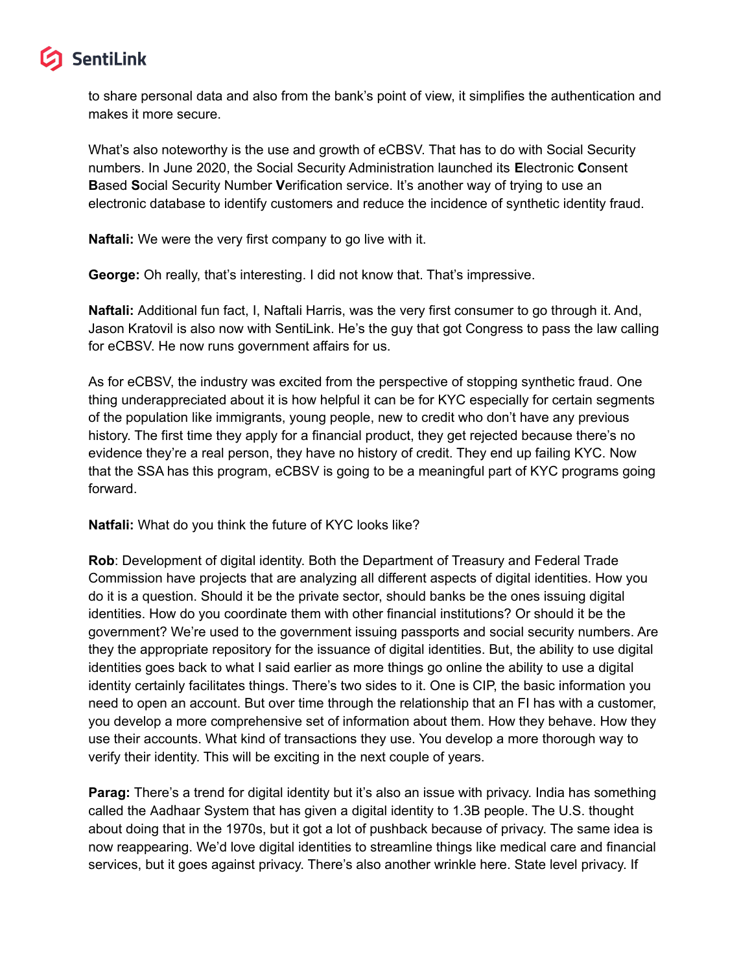

to share personal data and also from the bank's point of view, it simplifies the authentication and makes it more secure.

What's also noteworthy is the use and growth of eCBSV. That has to do with Social Security numbers. In June 2020, the Social Security Administration launched its **E**lectronic **C**onsent **B**ased **S**ocial Security Number **V**erification service. It's another way of trying to use an electronic database to identify customers and reduce the incidence of synthetic identity fraud.

**Naftali:** We were the very first company to go live with it.

**George:** Oh really, that's interesting. I did not know that. That's impressive.

**Naftali:** Additional fun fact, I, Naftali Harris, was the very first consumer to go through it. And, Jason Kratovil is also now with SentiLink. He's the guy that got Congress to pass the law calling for eCBSV. He now runs government affairs for us.

As for eCBSV, the industry was excited from the perspective of stopping synthetic fraud. One thing underappreciated about it is how helpful it can be for KYC especially for certain segments of the population like immigrants, young people, new to credit who don't have any previous history. The first time they apply for a financial product, they get rejected because there's no evidence they're a real person, they have no history of credit. They end up failing KYC. Now that the SSA has this program, eCBSV is going to be a meaningful part of KYC programs going forward.

**Natfali:** What do you think the future of KYC looks like?

**Rob**: Development of digital identity. Both the Department of Treasury and Federal Trade Commission have projects that are analyzing all different aspects of digital identities. How you do it is a question. Should it be the private sector, should banks be the ones issuing digital identities. How do you coordinate them with other financial institutions? Or should it be the government? We're used to the government issuing passports and social security numbers. Are they the appropriate repository for the issuance of digital identities. But, the ability to use digital identities goes back to what I said earlier as more things go online the ability to use a digital identity certainly facilitates things. There's two sides to it. One is CIP, the basic information you need to open an account. But over time through the relationship that an FI has with a customer, you develop a more comprehensive set of information about them. How they behave. How they use their accounts. What kind of transactions they use. You develop a more thorough way to verify their identity. This will be exciting in the next couple of years.

**Parag:** There's a trend for digital identity but it's also an issue with privacy. India has something called the [Aadhaar](https://en.wikipedia.org/wiki/Aadhaar) System that has given a digital identity to 1.3B people. The U.S. thought about doing that in the 1970s, but it got a lot of pushback because of privacy. The same idea is now reappearing. We'd love digital identities to streamline things like medical care and financial services, but it goes against privacy. There's also another wrinkle here. State level privacy. If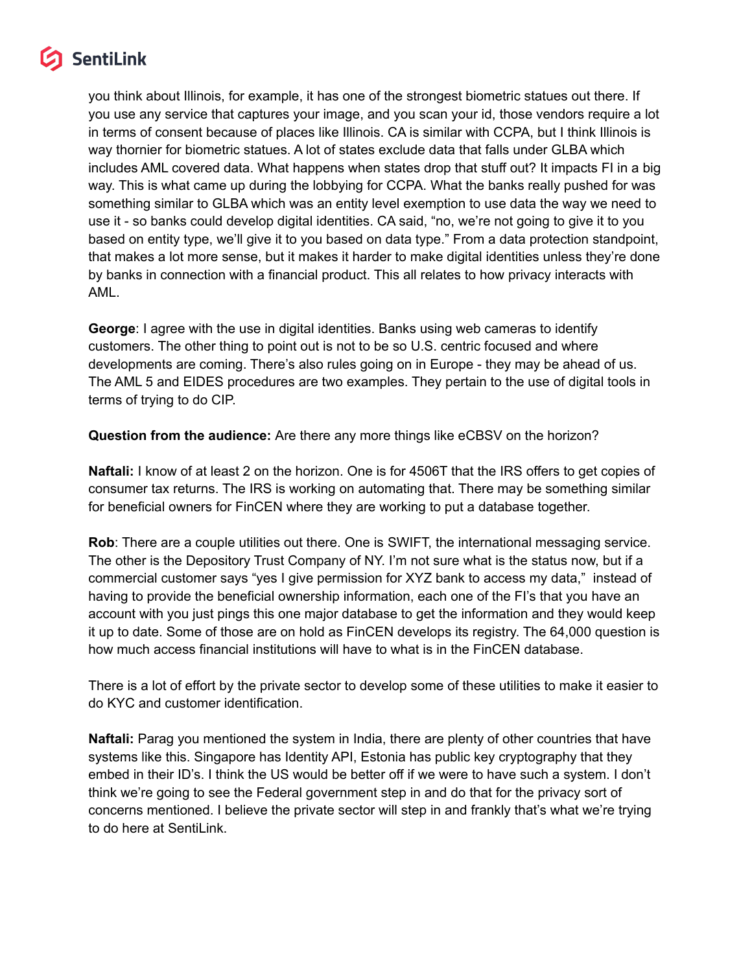

you think about Illinois, for example, it has one of the strongest biometric statues out there. If you use any service that captures your image, and you scan your id, those vendors require a lot in terms of consent because of places like Illinois. CA is similar with CCPA, but I think Illinois is way thornier for biometric statues. A lot of states exclude data that falls under GLBA which includes AML covered data. What happens when states drop that stuff out? It impacts FI in a big way. This is what came up during the lobbying for CCPA. What the banks really pushed for was something similar to GLBA which was an entity level exemption to use data the way we need to use it - so banks could develop digital identities. CA said, "no, we're not going to give it to you based on entity type, we'll give it to you based on data type." From a data protection standpoint, that makes a lot more sense, but it makes it harder to make digital identities unless they're done by banks in connection with a financial product. This all relates to how privacy interacts with AML.

**George**: I agree with the use in digital identities. Banks using web cameras to identify customers. The other thing to point out is not to be so U.S. centric focused and where developments are coming. There's also rules going on in Europe - they may be ahead of us. The AML 5 and EIDES procedures are two examples. They pertain to the use of digital tools in terms of trying to do CIP.

**Question from the audience:** Are there any more things like eCBSV on the horizon?

**Naftali:** I know of at least 2 on the horizon. One is for 4506T that the IRS offers to get copies of consumer tax returns. The IRS is working on automating that. There may be something similar for beneficial owners for FinCEN where they are working to put a database together.

**Rob**: There are a couple utilities out there. One is SWIFT, the international messaging service. The other is the Depository Trust Company of NY. I'm not sure what is the status now, but if a commercial customer says "yes I give permission for XYZ bank to access my data," instead of having to provide the beneficial ownership information, each one of the FI's that you have an account with you just pings this one major database to get the information and they would keep it up to date. Some of those are on hold as FinCEN develops its registry. The 64,000 question is how much access financial institutions will have to what is in the FinCEN database.

There is a lot of effort by the private sector to develop some of these utilities to make it easier to do KYC and customer identification.

**Naftali:** Parag you mentioned the system in India, there are plenty of other countries that have systems like this. Singapore has Identity API, Estonia has public key cryptography that they embed in their ID's. I think the US would be better off if we were to have such a system. I don't think we're going to see the Federal government step in and do that for the privacy sort of concerns mentioned. I believe the private sector will step in and frankly that's what we're trying to do here at SentiLink.